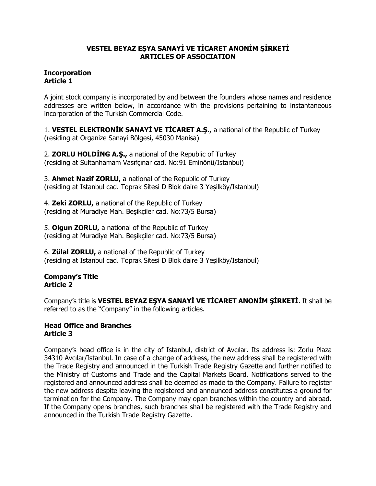## **VESTEL BEYAZ EŞYA SANAYİ VE TİCARET ANONİM ŞİRKETİ ARTICLES OF ASSOCIATION**

## **Incorporation Article 1**

A joint stock company is incorporated by and between the founders whose names and residence addresses are written below, in accordance with the provisions pertaining to instantaneous incorporation of the Turkish Commercial Code.

1. **VESTEL ELEKTRONİK SANAYİ VE TİCARET A.Ş.,** a national of the Republic of Turkey (residing at Organize Sanayi Bölgesi, 45030 Manisa)

2. **ZORLU HOLDİNG A.Ş.,** a national of the Republic of Turkey (residing at Sultanhamam Vasıfçınar cad. No:91 Eminönü/Istanbul)

3. **Ahmet Nazif ZORLU,** a national of the Republic of Turkey (residing at Istanbul cad. Toprak Sitesi D Blok daire 3 Yeşilköy/Istanbul)

4. **Zeki ZORLU,** a national of the Republic of Turkey (residing at Muradiye Mah. Beşikçiler cad. No:73/5 Bursa)

5. **Olgun ZORLU,** a national of the Republic of Turkey (residing at Muradiye Mah. Beşikçiler cad. No:73/5 Bursa)

6. **Zülal ZORLU,** a national of the Republic of Turkey (residing at Istanbul cad. Toprak Sitesi D Blok daire 3 Yeşilköy/Istanbul)

# **Company's Title Article 2**

Company's title is **VESTEL BEYAZ EŞYA SANAYİ VE TİCARET ANONİM ŞİRKETİ**. It shall be referred to as the "Company" in the following articles.

### **Head Office and Branches Article 3**

Company's head office is in the city of Istanbul, district of Avcılar. Its address is: Zorlu Plaza 34310 Avcılar/Istanbul. In case of a change of address, the new address shall be registered with the Trade Registry and announced in the Turkish Trade Registry Gazette and further notified to the Ministry of Customs and Trade and the Capital Markets Board. Notifications served to the registered and announced address shall be deemed as made to the Company. Failure to register the new address despite leaving the registered and announced address constitutes a ground for termination for the Company. The Company may open branches within the country and abroad. If the Company opens branches, such branches shall be registered with the Trade Registry and announced in the Turkish Trade Registry Gazette.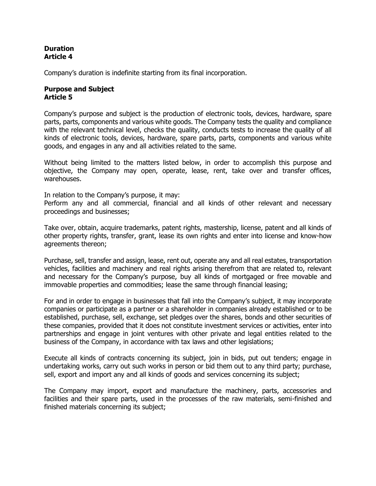### **Duration Article 4**

Company's duration is indefinite starting from its final incorporation.

## **Purpose and Subject Article 5**

Company's purpose and subject is the production of electronic tools, devices, hardware, spare parts, parts, components and various white goods. The Company tests the quality and compliance with the relevant technical level, checks the quality, conducts tests to increase the quality of all kinds of electronic tools, devices, hardware, spare parts, parts, components and various white goods, and engages in any and all activities related to the same.

Without being limited to the matters listed below, in order to accomplish this purpose and objective, the Company may open, operate, lease, rent, take over and transfer offices, warehouses.

In relation to the Company's purpose, it may:

Perform any and all commercial, financial and all kinds of other relevant and necessary proceedings and businesses;

Take over, obtain, acquire trademarks, patent rights, mastership, license, patent and all kinds of other property rights, transfer, grant, lease its own rights and enter into license and know-how agreements thereon;

Purchase, sell, transfer and assign, lease, rent out, operate any and all real estates, transportation vehicles, facilities and machinery and real rights arising therefrom that are related to, relevant and necessary for the Company's purpose, buy all kinds of mortgaged or free movable and immovable properties and commodities; lease the same through financial leasing;

For and in order to engage in businesses that fall into the Company's subject, it may incorporate companies or participate as a partner or a shareholder in companies already established or to be established, purchase, sell, exchange, set pledges over the shares, bonds and other securities of these companies, provided that it does not constitute investment services or activities, enter into partnerships and engage in joint ventures with other private and legal entities related to the business of the Company, in accordance with tax laws and other legislations;

Execute all kinds of contracts concerning its subject, join in bids, put out tenders; engage in undertaking works, carry out such works in person or bid them out to any third party; purchase, sell, export and import any and all kinds of goods and services concerning its subject;

The Company may import, export and manufacture the machinery, parts, accessories and facilities and their spare parts, used in the processes of the raw materials, semi-finished and finished materials concerning its subject;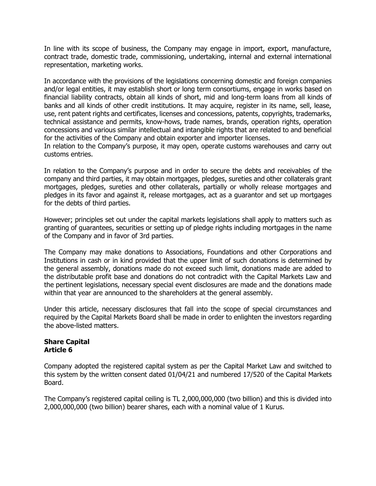In line with its scope of business, the Company may engage in import, export, manufacture, contract trade, domestic trade, commissioning, undertaking, internal and external international representation, marketing works.

In accordance with the provisions of the legislations concerning domestic and foreign companies and/or legal entities, it may establish short or long term consortiums, engage in works based on financial liability contracts, obtain all kinds of short, mid and long-term loans from all kinds of banks and all kinds of other credit institutions. It may acquire, register in its name, sell, lease, use, rent patent rights and certificates, licenses and concessions, patents, copyrights, trademarks, technical assistance and permits, know-hows, trade names, brands, operation rights, operation concessions and various similar intellectual and intangible rights that are related to and beneficial for the activities of the Company and obtain exporter and importer licenses.

In relation to the Company's purpose, it may open, operate customs warehouses and carry out customs entries.

In relation to the Company's purpose and in order to secure the debts and receivables of the company and third parties, it may obtain mortgages, pledges, sureties and other collaterals grant mortgages, pledges, sureties and other collaterals, partially or wholly release mortgages and pledges in its favor and against it, release mortgages, act as a guarantor and set up mortgages for the debts of third parties.

However; principles set out under the capital markets legislations shall apply to matters such as granting of guarantees, securities or setting up of pledge rights including mortgages in the name of the Company and in favor of 3rd parties.

The Company may make donations to Associations, Foundations and other Corporations and Institutions in cash or in kind provided that the upper limit of such donations is determined by the general assembly, donations made do not exceed such limit, donations made are added to the distributable profit base and donations do not contradict with the Capital Markets Law and the pertinent legislations, necessary special event disclosures are made and the donations made within that year are announced to the shareholders at the general assembly.

Under this article, necessary disclosures that fall into the scope of special circumstances and required by the Capital Markets Board shall be made in order to enlighten the investors regarding the above-listed matters.

## **Share Capital Article 6**

Company adopted the registered capital system as per the Capital Market Law and switched to this system by the written consent dated 01/04/21 and numbered 17/520 of the Capital Markets Board.

The Company's registered capital ceiling is TL 2,000,000,000 (two billion) and this is divided into 2,000,000,000 (two billion) bearer shares, each with a nominal value of 1 Kurus.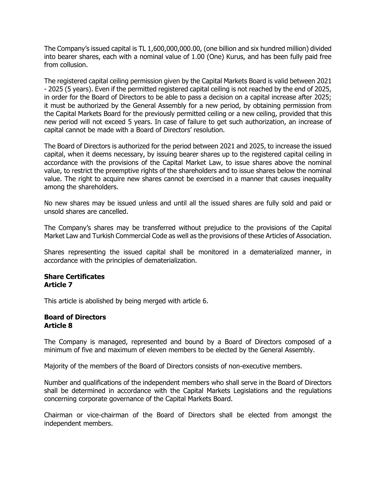The Company's issued capital is TL 1,600,000,000.00, (one billion and six hundred million) divided into bearer shares, each with a nominal value of 1.00 (One) Kurus, and has been fully paid free from collusion.

The registered capital ceiling permission given by the Capital Markets Board is valid between 2021 - 2025 (5 years). Even if the permitted registered capital ceiling is not reached by the end of 2025, in order for the Board of Directors to be able to pass a decision on a capital increase after 2025; it must be authorized by the General Assembly for a new period, by obtaining permission from the Capital Markets Board for the previously permitted ceiling or a new ceiling, provided that this new period will not exceed 5 years. In case of failure to get such authorization, an increase of capital cannot be made with a Board of Directors' resolution.

The Board of Directors is authorized for the period between 2021 and 2025, to increase the issued capital, when it deems necessary, by issuing bearer shares up to the registered capital ceiling in accordance with the provisions of the Capital Market Law, to issue shares above the nominal value, to restrict the preemptive rights of the shareholders and to issue shares below the nominal value. The right to acquire new shares cannot be exercised in a manner that causes inequality among the shareholders.

No new shares may be issued unless and until all the issued shares are fully sold and paid or unsold shares are cancelled.

The Company's shares may be transferred without prejudice to the provisions of the Capital Market Law and Turkish Commercial Code as well as the provisions of these Articles of Association.

Shares representing the issued capital shall be monitored in a dematerialized manner, in accordance with the principles of dematerialization.

#### **Share Certificates Article 7**

This article is abolished by being merged with article 6.

### **Board of Directors Article 8**

The Company is managed, represented and bound by a Board of Directors composed of a minimum of five and maximum of eleven members to be elected by the General Assembly.

Majority of the members of the Board of Directors consists of non-executive members.

Number and qualifications of the independent members who shall serve in the Board of Directors shall be determined in accordance with the Capital Markets Legislations and the regulations concerning corporate governance of the Capital Markets Board.

Chairman or vice-chairman of the Board of Directors shall be elected from amongst the independent members.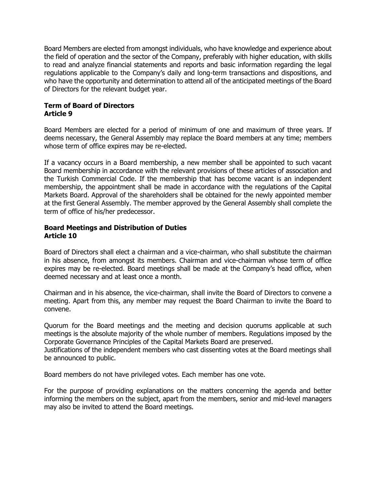Board Members are elected from amongst individuals, who have knowledge and experience about the field of operation and the sector of the Company, preferably with higher education, with skills to read and analyze financial statements and reports and basic information regarding the legal regulations applicable to the Company's daily and long-term transactions and dispositions, and who have the opportunity and determination to attend all of the anticipated meetings of the Board of Directors for the relevant budget year.

### **Term of Board of Directors Article 9**

Board Members are elected for a period of minimum of one and maximum of three years. If deems necessary, the General Assembly may replace the Board members at any time; members whose term of office expires may be re-elected.

If a vacancy occurs in a Board membership, a new member shall be appointed to such vacant Board membership in accordance with the relevant provisions of these articles of association and the Turkish Commercial Code. If the membership that has become vacant is an independent membership, the appointment shall be made in accordance with the regulations of the Capital Markets Board. Approval of the shareholders shall be obtained for the newly appointed member at the first General Assembly. The member approved by the General Assembly shall complete the term of office of his/her predecessor.

### **Board Meetings and Distribution of Duties Article 10**

Board of Directors shall elect a chairman and a vice-chairman, who shall substitute the chairman in his absence, from amongst its members. Chairman and vice-chairman whose term of office expires may be re-elected. Board meetings shall be made at the Company's head office, when deemed necessary and at least once a month.

Chairman and in his absence, the vice-chairman, shall invite the Board of Directors to convene a meeting. Apart from this, any member may request the Board Chairman to invite the Board to convene.

Quorum for the Board meetings and the meeting and decision quorums applicable at such meetings is the absolute majority of the whole number of members. Regulations imposed by the Corporate Governance Principles of the Capital Markets Board are preserved.

Justifications of the independent members who cast dissenting votes at the Board meetings shall be announced to public.

Board members do not have privileged votes. Each member has one vote.

For the purpose of providing explanations on the matters concerning the agenda and better informing the members on the subject, apart from the members, senior and mid-level managers may also be invited to attend the Board meetings.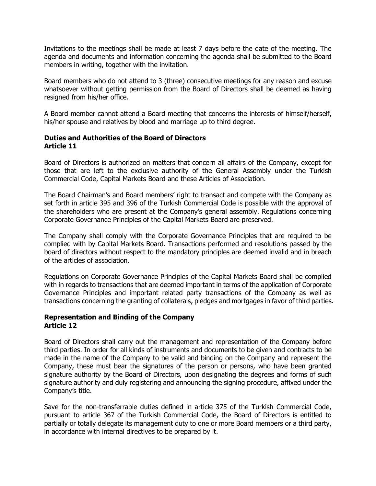Invitations to the meetings shall be made at least 7 days before the date of the meeting. The agenda and documents and information concerning the agenda shall be submitted to the Board members in writing, together with the invitation.

Board members who do not attend to 3 (three) consecutive meetings for any reason and excuse whatsoever without getting permission from the Board of Directors shall be deemed as having resigned from his/her office.

A Board member cannot attend a Board meeting that concerns the interests of himself/herself, his/her spouse and relatives by blood and marriage up to third degree.

## **Duties and Authorities of the Board of Directors Article 11**

Board of Directors is authorized on matters that concern all affairs of the Company, except for those that are left to the exclusive authority of the General Assembly under the Turkish Commercial Code, Capital Markets Board and these Articles of Association.

The Board Chairman's and Board members' right to transact and compete with the Company as set forth in article 395 and 396 of the Turkish Commercial Code is possible with the approval of the shareholders who are present at the Company's general assembly. Regulations concerning Corporate Governance Principles of the Capital Markets Board are preserved.

The Company shall comply with the Corporate Governance Principles that are required to be complied with by Capital Markets Board. Transactions performed and resolutions passed by the board of directors without respect to the mandatory principles are deemed invalid and in breach of the articles of association.

Regulations on Corporate Governance Principles of the Capital Markets Board shall be complied with in regards to transactions that are deemed important in terms of the application of Corporate Governance Principles and important related party transactions of the Company as well as transactions concerning the granting of collaterals, pledges and mortgages in favor of third parties.

## **Representation and Binding of the Company Article 12**

Board of Directors shall carry out the management and representation of the Company before third parties. In order for all kinds of instruments and documents to be given and contracts to be made in the name of the Company to be valid and binding on the Company and represent the Company, these must bear the signatures of the person or persons, who have been granted signature authority by the Board of Directors, upon designating the degrees and forms of such signature authority and duly registering and announcing the signing procedure, affixed under the Company's title.

Save for the non-transferrable duties defined in article 375 of the Turkish Commercial Code, pursuant to article 367 of the Turkish Commercial Code, the Board of Directors is entitled to partially or totally delegate its management duty to one or more Board members or a third party, in accordance with internal directives to be prepared by it.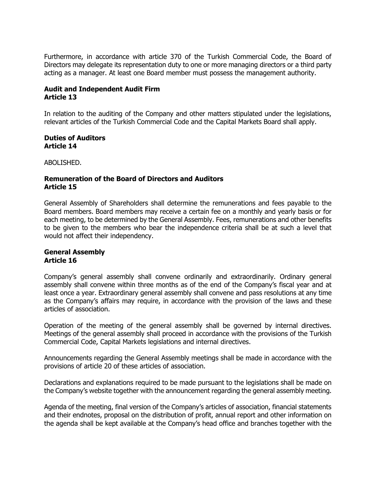Furthermore, in accordance with article 370 of the Turkish Commercial Code, the Board of Directors may delegate its representation duty to one or more managing directors or a third party acting as a manager. At least one Board member must possess the management authority.

# **Audit and Independent Audit Firm Article 13**

In relation to the auditing of the Company and other matters stipulated under the legislations, relevant articles of the Turkish Commercial Code and the Capital Markets Board shall apply.

### **Duties of Auditors Article 14**

ABOLISHED.

## **Remuneration of the Board of Directors and Auditors Article 15**

General Assembly of Shareholders shall determine the remunerations and fees payable to the Board members. Board members may receive a certain fee on a monthly and yearly basis or for each meeting, to be determined by the General Assembly. Fees, remunerations and other benefits to be given to the members who bear the independence criteria shall be at such a level that would not affect their independency.

# **General Assembly Article 16**

Company's general assembly shall convene ordinarily and extraordinarily. Ordinary general assembly shall convene within three months as of the end of the Company's fiscal year and at least once a year. Extraordinary general assembly shall convene and pass resolutions at any time as the Company's affairs may require, in accordance with the provision of the laws and these articles of association.

Operation of the meeting of the general assembly shall be governed by internal directives. Meetings of the general assembly shall proceed in accordance with the provisions of the Turkish Commercial Code, Capital Markets legislations and internal directives.

Announcements regarding the General Assembly meetings shall be made in accordance with the provisions of article 20 of these articles of association.

Declarations and explanations required to be made pursuant to the legislations shall be made on the Company's website together with the announcement regarding the general assembly meeting.

Agenda of the meeting, final version of the Company's articles of association, financial statements and their endnotes, proposal on the distribution of profit, annual report and other information on the agenda shall be kept available at the Company's head office and branches together with the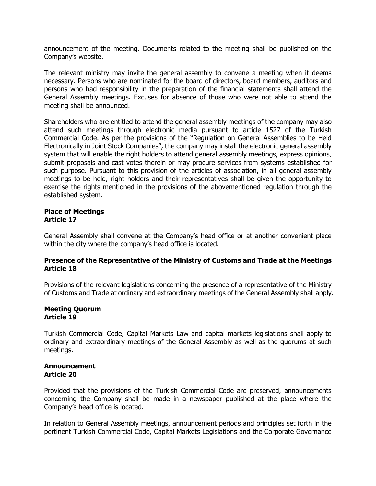announcement of the meeting. Documents related to the meeting shall be published on the Company's website.

The relevant ministry may invite the general assembly to convene a meeting when it deems necessary. Persons who are nominated for the board of directors, board members, auditors and persons who had responsibility in the preparation of the financial statements shall attend the General Assembly meetings. Excuses for absence of those who were not able to attend the meeting shall be announced.

Shareholders who are entitled to attend the general assembly meetings of the company may also attend such meetings through electronic media pursuant to article 1527 of the Turkish Commercial Code. As per the provisions of the "Regulation on General Assemblies to be Held Electronically in Joint Stock Companies", the company may install the electronic general assembly system that will enable the right holders to attend general assembly meetings, express opinions, submit proposals and cast votes therein or may procure services from systems established for such purpose. Pursuant to this provision of the articles of association, in all general assembly meetings to be held, right holders and their representatives shall be given the opportunity to exercise the rights mentioned in the provisions of the abovementioned regulation through the established system.

### **Place of Meetings Article 17**

General Assembly shall convene at the Company's head office or at another convenient place within the city where the company's head office is located.

### **Presence of the Representative of the Ministry of Customs and Trade at the Meetings Article 18**

Provisions of the relevant legislations concerning the presence of a representative of the Ministry of Customs and Trade at ordinary and extraordinary meetings of the General Assembly shall apply.

#### **Meeting Quorum Article 19**

Turkish Commercial Code, Capital Markets Law and capital markets legislations shall apply to ordinary and extraordinary meetings of the General Assembly as well as the quorums at such meetings.

### **Announcement Article 20**

Provided that the provisions of the Turkish Commercial Code are preserved, announcements concerning the Company shall be made in a newspaper published at the place where the Company's head office is located.

In relation to General Assembly meetings, announcement periods and principles set forth in the pertinent Turkish Commercial Code, Capital Markets Legislations and the Corporate Governance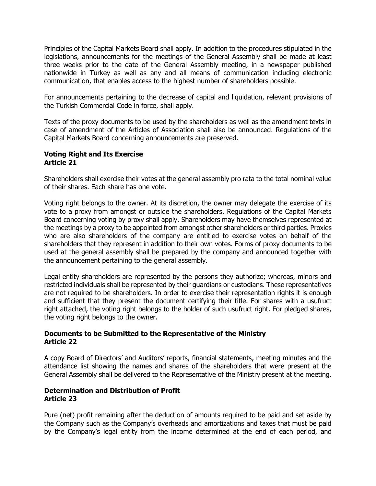Principles of the Capital Markets Board shall apply. In addition to the procedures stipulated in the legislations, announcements for the meetings of the General Assembly shall be made at least three weeks prior to the date of the General Assembly meeting, in a newspaper published nationwide in Turkey as well as any and all means of communication including electronic communication, that enables access to the highest number of shareholders possible.

For announcements pertaining to the decrease of capital and liquidation, relevant provisions of the Turkish Commercial Code in force, shall apply.

Texts of the proxy documents to be used by the shareholders as well as the amendment texts in case of amendment of the Articles of Association shall also be announced. Regulations of the Capital Markets Board concerning announcements are preserved.

### **Voting Right and Its Exercise Article 21**

Shareholders shall exercise their votes at the general assembly pro rata to the total nominal value of their shares. Each share has one vote.

Voting right belongs to the owner. At its discretion, the owner may delegate the exercise of its vote to a proxy from amongst or outside the shareholders. Regulations of the Capital Markets Board concerning voting by proxy shall apply. Shareholders may have themselves represented at the meetings by a proxy to be appointed from amongst other shareholders or third parties. Proxies who are also shareholders of the company are entitled to exercise votes on behalf of the shareholders that they represent in addition to their own votes. Forms of proxy documents to be used at the general assembly shall be prepared by the company and announced together with the announcement pertaining to the general assembly.

Legal entity shareholders are represented by the persons they authorize; whereas, minors and restricted individuals shall be represented by their guardians or custodians. These representatives are not required to be shareholders. In order to exercise their representation rights it is enough and sufficient that they present the document certifying their title. For shares with a usufruct right attached, the voting right belongs to the holder of such usufruct right. For pledged shares, the voting right belongs to the owner.

## **Documents to be Submitted to the Representative of the Ministry Article 22**

A copy Board of Directors' and Auditors' reports, financial statements, meeting minutes and the attendance list showing the names and shares of the shareholders that were present at the General Assembly shall be delivered to the Representative of the Ministry present at the meeting.

## **Determination and Distribution of Profit Article 23**

Pure (net) profit remaining after the deduction of amounts required to be paid and set aside by the Company such as the Company's overheads and amortizations and taxes that must be paid by the Company's legal entity from the income determined at the end of each period, and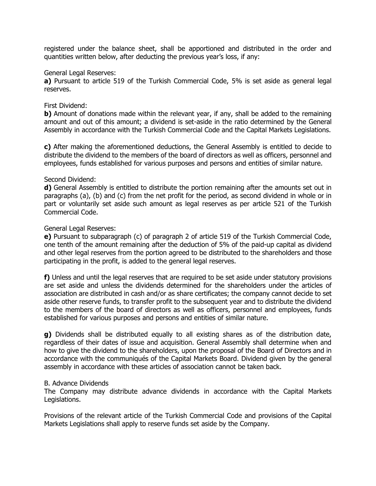registered under the balance sheet, shall be apportioned and distributed in the order and quantities written below, after deducting the previous year's loss, if any:

#### General Legal Reserves:

**a)** Pursuant to article 519 of the Turkish Commercial Code, 5% is set aside as general legal reserves.

#### First Dividend:

**b)** Amount of donations made within the relevant year, if any, shall be added to the remaining amount and out of this amount; a dividend is set-aside in the ratio determined by the General Assembly in accordance with the Turkish Commercial Code and the Capital Markets Legislations.

**c)** After making the aforementioned deductions, the General Assembly is entitled to decide to distribute the dividend to the members of the board of directors as well as officers, personnel and employees, funds established for various purposes and persons and entities of similar nature.

### Second Dividend:

**d)** General Assembly is entitled to distribute the portion remaining after the amounts set out in paragraphs (a), (b) and (c) from the net profit for the period, as second dividend in whole or in part or voluntarily set aside such amount as legal reserves as per article 521 of the Turkish Commercial Code.

#### General Legal Reserves:

**e)** Pursuant to subparagraph (c) of paragraph 2 of article 519 of the Turkish Commercial Code, one tenth of the amount remaining after the deduction of 5% of the paid-up capital as dividend and other legal reserves from the portion agreed to be distributed to the shareholders and those participating in the profit, is added to the general legal reserves.

**f)** Unless and until the legal reserves that are required to be set aside under statutory provisions are set aside and unless the dividends determined for the shareholders under the articles of association are distributed in cash and/or as share certificates; the company cannot decide to set aside other reserve funds, to transfer profit to the subsequent year and to distribute the dividend to the members of the board of directors as well as officers, personnel and employees, funds established for various purposes and persons and entities of similar nature.

**g)** Dividends shall be distributed equally to all existing shares as of the distribution date, regardless of their dates of issue and acquisition. General Assembly shall determine when and how to give the dividend to the shareholders, upon the proposal of the Board of Directors and in accordance with the communiqués of the Capital Markets Board. Dividend given by the general assembly in accordance with these articles of association cannot be taken back.

### B. Advance Dividends

The Company may distribute advance dividends in accordance with the Capital Markets Legislations.

Provisions of the relevant article of the Turkish Commercial Code and provisions of the Capital Markets Legislations shall apply to reserve funds set aside by the Company.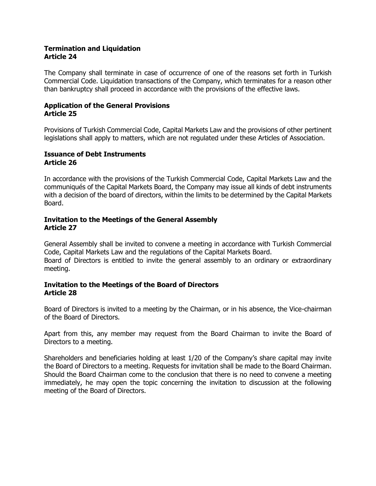### **Termination and Liquidation Article 24**

The Company shall terminate in case of occurrence of one of the reasons set forth in Turkish Commercial Code. Liquidation transactions of the Company, which terminates for a reason other than bankruptcy shall proceed in accordance with the provisions of the effective laws.

### **Application of the General Provisions Article 25**

Provisions of Turkish Commercial Code, Capital Markets Law and the provisions of other pertinent legislations shall apply to matters, which are not regulated under these Articles of Association.

#### **Issuance of Debt Instruments Article 26**

In accordance with the provisions of the Turkish Commercial Code, Capital Markets Law and the communiqués of the Capital Markets Board, the Company may issue all kinds of debt instruments with a decision of the board of directors, within the limits to be determined by the Capital Markets Board.

### **Invitation to the Meetings of the General Assembly Article 27**

General Assembly shall be invited to convene a meeting in accordance with Turkish Commercial Code, Capital Markets Law and the regulations of the Capital Markets Board. Board of Directors is entitled to invite the general assembly to an ordinary or extraordinary meeting.

### **Invitation to the Meetings of the Board of Directors Article 28**

Board of Directors is invited to a meeting by the Chairman, or in his absence, the Vice-chairman of the Board of Directors.

Apart from this, any member may request from the Board Chairman to invite the Board of Directors to a meeting.

Shareholders and beneficiaries holding at least 1/20 of the Company's share capital may invite the Board of Directors to a meeting. Requests for invitation shall be made to the Board Chairman. Should the Board Chairman come to the conclusion that there is no need to convene a meeting immediately, he may open the topic concerning the invitation to discussion at the following meeting of the Board of Directors.